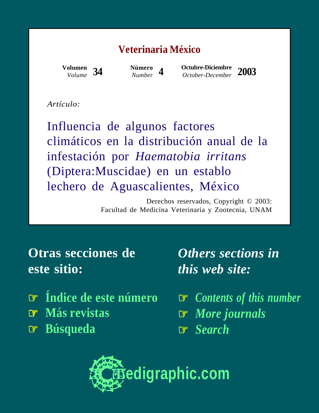### **Veterinaria México**



**Número**

*Number* **4 Octubre-Diciembre** *October-December* **2003 Volumen**

#### *Artículo:*

Influencia de algunos factores climáticos en la distribución anual de la infestación por *Haematobia irritans* (Diptera:Muscidae) en un establo lechero de Aguascalientes, México

> Derechos reservados, Copyright © 2003: Facultad de Medicina Veterinaria y Zootecnia, UNAM

### **Otras secciones de este sitio:**

- ☞ **[Índice de este número](http://www.medigraphic.com/espanol/e-htms/e-vetmex/e-vm2003/e-vm03-4/e1-vm034.htm)**
- ☞ **[Más revistas](http://www.medigraphic.com/espanol/e1-indic.htm)**
- ☞ **[Búsqueda](http://www.medigraphic.com/espanol/e-buscar/e1-busca.htm)**

*Others sections in this web site:*

☞ *[Contents of this number](http://www.medigraphic.com/ingles/i-htms/i-vetmex/i-vm2003/i-vm03-4/i1-vm034.htm)* ☞ *[More journals](http://www.medigraphic.com/ingles/i1-indic.htm)* ☞ *[Search](http://www.medigraphic.com/ingles/i-buscar/i1-busca.htm)*

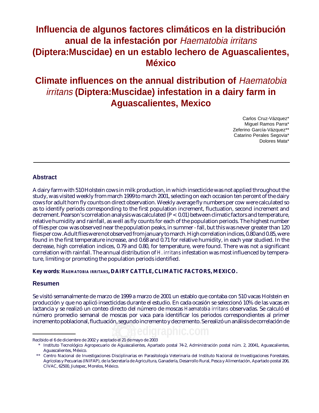# **Influencia de algunos factores climáticos en la distribución anual de la infestación por** Haematobia irritans **(Diptera:Muscidae) en un establo lechero de Aguascalientes, México**

# **Climate influences on the annual distribution of** Haematobia irritans **(Diptera:Muscidae) infestation in a dairy farm in Aguascalientes, Mexico**

Carlos Cruz-Vázquez\* Miguel Ramos Parra\* Zeferino García-Vázquez\*\* Catarino Perales Segovia\* Dolores Mata\*

### **Abstract**

A dairy farm with 510 Holstein cows in milk production, in which insecticide was not applied throughout the study, was visited weekly from march 1999 to march 2001, selecting on each occasion ten percent of the dairy cows for adult horn fly counts on direct observation. Weekly average fly numbers per cow were calculated so as to identify periods corresponding to the first population increment, fluctuation, second increment and decrement. Pearson's correlation analysis was calculated (P < 0.01) between climatic factors and temperature, relative humidity and rainfall, as well as fly counts for each of the population periods. The highest number of flies per cow was observed near the population peaks, in summer - fall, but this was never greater than 120 flies per cow. Adult flies were not observed from january to march. High correlation indices, 0.80 and 0.85, were found in the first temperature increase, and 0.68 and 0.71 for relative humidity, in each year studied. In the decrease, high correlation indices, 0.79 and 0.80, for temperature, were found. There was not a significant correlation with rainfall. The annual distribution of *H. irritans* infestation was most influenced by temperature, limiting or promoting the population periods identified.

**Key words**: *HAEMATOBIA IRRITANS***, DAIRY CATTLE, CLIMATIC FACTORS, MEXICO.**

### **Resumen**

Se visitó semanalmente de marzo de 1999 a marzo de 2001 un establo que contaba con 510 vacas Holstein en producción y que no aplicó insecticidas durante el estudio. En cada ocasión se seleccionó 10% de las vacas en lactancia y se realizó un conteo directo del número de moscas *Haematobia irritans* observadas. Se calculó el número promedio semanal de moscas por vaca para identificar los periodos correspondientes al primer incremento poblacional, fluctuación, segundo incremento y decremento. Se realizó un análisis de correlación de

Recibido el 6 de diciembre de 2002 y aceptado el 21 de mayo de 2003

<sup>\*</sup> Instituto Tecnológico Agropecuario de Aguascalientes, Apartado postal 74-2, Administración postal núm. 2, 20041, Aguascalientes, Aguascalientes, México.

<sup>\*\*</sup> Centro Nacional de Investigaciones Disciplinarias en Parasitología Veterinaria del Instituto Nacional de Investigaciones Forestales, Agrícolas y Pecuarias (INIFAP), de la Secretaría de Agricultura, Ganadería, Desarrollo Rural, Pesca y Alimentación, Apartado postal 206, CIVAC, 62500, Jiutepec, Morelos, México.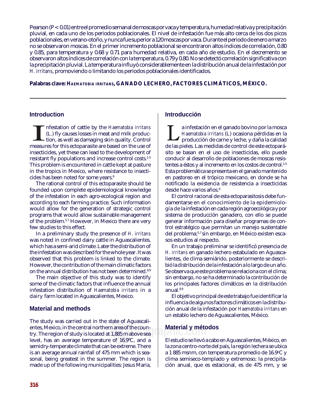Pearson (P < 0.01) entre el promedio semanal de moscas por vaca y temperatura, humedad relativa y precipitación pluvial, en cada uno de los periodos poblacionales. El nivel de infestación fue más alto cerca de los dos picos poblacionales, en verano-otoño, y nunca fue superior a 120 moscas por vaca. Durante el periodo de enero a marzo no se observaron moscas. En el primer incremento poblacional se encontraron altos índices de correlación, 0.80 y 0.85, para temperatura y 0.68 y 0.71 para humedad relativa, en cada año de estudio. En el decremento se observaron altos índices de correlación con la temperatura, 0.79 y 0.80. No se detectó correlación significativa con la precipitación pluvial. La temperatura influyó considerablemente en la distribución anual de la infestación por *H. irritans*, promoviendo o limitando los periodos poblacionales identificados.

**Palabras clave:** *HAEMATOBIA IRRITANS***, GANADO LECHERO, FACTORES CLIMÁTICOS, MÉXICO.**

### **Introduction**

nfestation of cattle by the *Haematobia irritans* (L.) fly causes losses in meat and milk production, as well as damaging skin quality. Control measures for this ectoparasite are based on the use of insecticides, yet these can lead to the development of resistant fly populations and increase control costs.<sup>1-5</sup> This problem is encountered in cattle kept at pasture in the tropics in Mexico, where resistance to insecticides has been noted for some years.<sup>6</sup>

The rational control of this ectoparasite should be founded upon complete epidemiological knowledge of the infestation in each agro-ecological region and according to each farming practice. Such information would allow for the generation of strategic control programs that would allow sustainable management of the problem.<sup>5,7</sup> However, in Mexico there are very few studies to this effect.

In a preliminary study the presence of *H. irritans* was noted in confined dairy cattle in Aguascalientes, which has a semi-arid climate. Later the distribution of the infestation was described for the whole year. It was observed that this problem is linked to the climate. However, the contribution of the main climatic factors on the annual distribution has not been determined.<sup>8,9</sup>

The main objective of this study was to identify some of the climatic factors that influence the annual infestation distribution of *Haematobia irritans* in a dairy farm located in Aguascalientes, Mexico.

### **Material and methods**

The study was carried out in the state of Aguascalientes, Mexico, in the central northern area of the country. The region of study is located at 1,885 m above sea level, has an average temperature of 16.9°C, and a semidry-temperate climate that can be extreme. There is an average annual rainfall of 475 mm which is seasonal, being greatest in the summer. The region is made up of the following municipalities: Jesus Maria,

# **Introducción**

a infestación en el ganado bovino por la mosca *Haematobia irritans* (L) ocasiona pérdidas en la producción de carne y leche, y daña la calidad de las pieles. Las medidas de control de este ectoparásito se basan en el uso de insecticidas, ello puede conducir al desarrollo de poblaciones de moscas resistentes a éstos y al incremento en los costos de control.<sup>1-5</sup> Esta problemática se presenta en el ganado mantenido en pastoreo en el trópico mexicano, en donde se ha notificado la existencia de resistencia a insecticidas desde hace varios años.<sup>6</sup>

El control racional de esta ectoparasitosis debe fundamentarse en el conocimiento de la epidemiología de la infestación en cada región agroecológica y por sistema de producción ganadero, con ello se puede generar información para diseñar programas de control estratégico que permitan un manejo sustentable del problema;5,7 sin embargo, en México existen escasos estudios al respecto.

En un trabajo preliminar se identificó presencia de *H. irritans* en ganado lechero estabulado en Aguascalientes, de clima semiárido, posteriormente se describió la distribución de la infestación a lo largo de un año. Se observa que este problema se relaciona con el clima; sin embargo, no se ha determinado la contribución de los principales factores climáticos en la distribución anual. $8,9$ 

El objetivo principal de este trabajo fue identificar la influencia de algunos factores climáticos en la distribución anual de la infestación por *Haematobia irritans* en un establo lechero de Aguascalientes, México.

# e coun-**comple. Material y métodos**<br>ove sea

El estudio se llevó a cabo en Aguascalientes, México, en la zona centro-norte del país, la región lechera se ubica a 1 885 msnm, con temperatura promedio de 16.9°C y clima semiseco-templado y extremoso; la precipitación anual, que es estacional, es de 475 mm, y se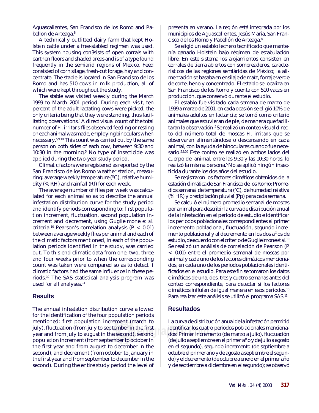Aguascalientes, San Francisco de los Romo and Pabellon de Arteaga.<sup>8</sup>

A technically outfitted dairy farm that kept Holstein cattle under a free-stabled regimen was used. This system housing con3sists of open corrals with earthen floors and shaded areas and is of a type found frequently in the semiarid regions of Mexico. Feed consisted of corn silage, fresh-cut forage, hay and concentrate. The stable is located in San Francisco de los Romo and has 510 cows in milk production, all of which were kept throughout the study.

The stable was visited weekly during the March 1999 to March 2001 period. During each visit, ten percent of the adult lactating cows were picked, the only criteria being that they were standing, thus facilitating observations.5 A direct visual count of the total number of *H. irritans* flies observed feeding or resting on each animal was made, employing binoculars when necessary.5,9,10 This count was carried out by the same person on both sides of each cow, between 9:30 and 10:30 in the morning.<sup>5</sup> No type of insecticide was applied during the two-year study period.

Climatic factors were registered as reported by the San Francisco de los Romo weather station, measuring: average weekly temperature (ºC), relative humidity (% RH) and rainfall (Rf) for each week.

The average number of flies per week was calculated for each animal so as to describe the annual infestation distribution curve for the study period and identify periods corresponding to: first population increment, fluctuation, second population increment and decrement, using Guglielmone *et al.* criteria.<sup>10</sup> Pearson's correlation analysis ( $P < 0.01$ ) between average weekly flies per animal and each of the climatic factors mentioned, in each of the population periods identified in the study, was carried out. To this end climatic data from one, two, three and four weeks prior to when the corresponding count was taken were compared so as to detect if climatic factors had the same influence in these periods.10 The SAS statistical analysis program was used for all analyses.<sup>11</sup>

### **Results**

The annual infestation distribution curve allowed for the identification of the four population periods mentioned: first population increment (march to july), fluctuation (from july to september in the first year and from july to august in the second), second population increment (from september to october in the first year and from august to december in the second), and decrement (from october to january in the first year and from september to december in the second). During the entire study period the level of presenta en verano. La región está integrada por los municipios de Aguascalientes, Jesús María, San Francisco de los Romo y Pabellón de Arteaga.8

Se eligió un establo lechero tecnificado que mantenía ganado Holstein bajo régimen de estabulación libre. En este sistema los alojamientos consisten en corrales de tierra abiertos con sombreaderos, característicos de las regiones semiáridas de México; la alimentación se basaba en ensilaje de maíz, forraje verde de corte, heno y concentrado. El establo se localiza en San Francisco de los Romo y cuenta con 510 vacas en producción, que conservó durante el estudio.

El establo fue visitado cada semana de marzo de 1999 a marzo de 2001, en cada ocasión se eligió 10% de animales adultos en lactancia; se tomó como criterio animales que estuvieran de pie, de manera que facilitaran la observación.<sup>5</sup> Se realizó un conteo visual directo del número total de moscas *H. irritans* que se observaran alimentándose o descansando en cada animal, con la ayuda de binoculares cuando fue necesario.5,9,10 Este conteo se realizó en ambos lados del cuerpo del animal, entre las 9:30 y las 10:30 horas, lo realizó la misma persona.5 No se aplicó ningún insecticida durante los dos años del estudio.

Se registraron los factores climáticos obtenidos de la estación climática de San Francisco de los Romo: Promedios semanal de temperatura (°C), de humedad relativa (% HR) y precipitación pluvial (Pp) para cada semana.

Se calculó el número promedio semanal de moscas por animal para describir la curva de distribución anual de la infestación en el periodo de estudio e identificar los periodos poblacionales correspondientes al primer incremento poblacional, fluctuación, segundo incremento poblacional y al decremento en los dos años de estudio, de acuerdo con el criterio de Guglielmone *et al*. 10 Se realizó un análisis de correlación de Pearson (P < 0.01) entre el promedio semanal de moscas por animal y cada uno de los factores climáticos mencionados, en cada uno de los periodos poblacionales identificados en el estudio. Para este fin se tomaron los datos climáticos de una, dos, tres y cuatro semanas antes del conteo correspondiente, para detectar si los factores climáticos influían de igual manera en esos periodos.<sup>10</sup> Para realizar este análisis se utilizó el programa SAS.<sup>11</sup>

### **Resultados**

**edigraphic.com** dos: Primer incremento (de marzo a julio), fluctuación La curva de distribución anual de la infestación permitió identificar los cuatro periodos poblacionales menciona-(de julio a septiembre en el primer año y de julio a agosto en el segundo), segundo incremento (de septiembre a octubre el primer año y de agosto a septiembre el segundo) y el decremento (de octubre a enero en el primer año y de septiembre a diciembre en el segundo); se observó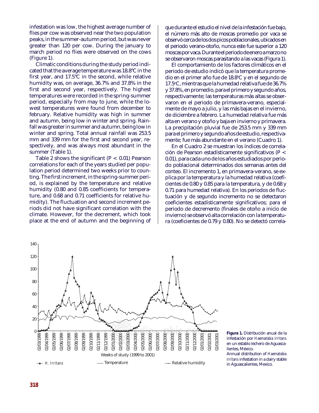infestation was low, the highest average number of flies per cow was observed near the two population peaks, in the summer-autumn period, but was never greater than 120 per cow. During the january to march period no flies were observed on the cows (Figure 1).

first year, and 17.5°C in the second, while relative first and second year, respectively. The highest **arap** period, especially from may to june, while the lofebruary. Relative humidity was high in summer and autumn, being low in winter and spring. Rain-Climatic conditions during the study period indicated that the average temperature was 18.8°C in the humidity was, on average, 36.7% and 37.8% in the temperatures were recorded in the spring-summer west temperatures were found from december to fall was greater in summer and autumn, being low in winter and spring. Total annual rainfall was 253.5 mm and 339 mm for the first and second year, respectively, and was always most abundant in the summer (Table 1).

Table 2 shows the significant  $(P < 0.01)$  Pearson correlations for each of the years studied per population period determined two weeks prior to counting. The first increment, in the spring-summer period, is explained by the temperature and relative humidity (0.80 and 0.85 coefficients for temperature, and 0.68 and 0.71 coefficients for relative humidity). The fluctuation and second increment periods did not have significant correlation with the climate. However, for the decrement, which took place at the end of autumn and the beginning of

que durante el estudio el nivel de la infestación fue bajo, el número más alto de moscas promedio por vaca se observó cerca de los dos picos poblacionales, ubicados en el periodo verano-otoño, nunca este fue superior a 120 moscas por vaca. Durante el periodo de enero a marzo no se observaron moscas parasitando a las vacas (Figura 1).

dio en el primer año fue de 18.8°C y en el segundo de 17.5°C, mientras que la humedad relativa fue de 36.7% El comportamiento de los factores climáticos en el periodo de estudio indicó que la temperatura promey 37.8%, en promedio, para el primero y segundo años, respectivamente; las temperaturas más altas se observaron en el periodo de primavera-verano, especialmente de mayo a julio, y las más bajas en el invierno, de diciembre a febrero. La humedad relativa fue más alta en verano y otoño y baja en invierno y primavera. La precipitación pluvial fue de 253.5 mm y 339 mm para el primero y segundo años de estudio, respectivamente; fue más abundante en el verano (Cuadro 1).

En el Cuadro 2 se muestran los índices de correlación de Pearson estadísticamente significativos (P < 0.01), para cada uno de los años estudiados por periodo poblacional determinados dos semanas antes del conteo. El incremento 1, en primavera-verano, se explica por la temperatura y la humedad relativa (coeficientes de 0.80 y 0.85 para la temperatura, y de 0.68 y 0.71 para humedad relativa). En los periodos de fluctuación y de segundo incremento no se detectaron coeficientes estadísticamente significativos; para el periodo de decremento (finales de otoño a inicio de invierno) se observó alta correlación con la temperatura (coeficientes de 0.79 y 0.80). No se detectó correla-



**Figura 1.** Distribución anual de la infestación por *Haematobia irritans* en un establo lechero de Aguascalientes, México.

Annual distribution of *Haematobia irritans* infestation in a dairy stable in Aguascalientes, Mexico.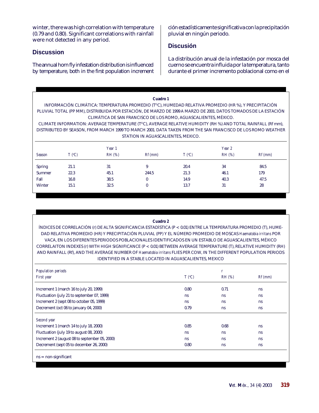winter, there was high correlation with temperature (0.79 and 0.80). Significant correlations with rainfall were not detected in any period.

# **Discussion**

The annual horn fly infestation distribution is influenced by temperature, both in the first population increment ción estadísticamente significativa con la precipitación pluvial en ningún periodo.

## **Discusión**

La distribución anual de la infestación por mosca del cuerno se encuentra influida por la temperatura, tanto durante el primer incremento poblacional como en el

### **Cuadro 1**

INFORMACIÓN CLIMÁTICA: TEMPERATURA PROMEDIO (TºC), HUMEDAD RELATIVA PROMEDIO (HR %), Y PRECIPITACIÓN PLUVIAL TOTAL (PP MM), DISTRIBUIDA POR ESTACIÓN, DE MARZO DE 1999 A MARZO DE 2001. DATOS TOMADOS DE LA ESTACIÓN CLIMÁTICA DE SAN FRANCISCO DE LOS ROMO, AGUASCALIENTES, MÉXICO.

CLIMATE INFORMATION: AVERAGE TEMPERATURE (T°C), AVERAGE RELATIVE HUMIDITY (RH %) AND TOTAL RAINFALL (Rf mm), DISTRIBUTED BY SEASON, FROM MARCH 1999 TO MARCH 2001. DATA TAKEN FROM THE SAN FRANCISCO DE LOS ROMO WEATHER STATION IN AGUASCALIENTES, MEXICO.

| Season        |      | Year 1   |           |      | Year 2   |           |
|---------------|------|----------|-----------|------|----------|-----------|
|               | T(C) | $RH$ (%) | $Rf$ (mm) | T(C) | $RH$ (%) | $Rf$ (mm) |
| <b>Spring</b> | 21.1 | 31       | 9         | 20.4 | 34       | 84.5      |
| Summer        | 22.3 | 45.1     | 244.5     | 21.3 | 46.1     | 179       |
| Fall          | 16.8 | 38.5     | $\bf{0}$  | 14.9 | 40.3     | 47.5      |
| Winter        | 15.1 | 32.5     | 0         | 13.7 | 31       | 28        |

### **Cuadro 2**

ÍNDICES DE CORRELACIÓN (r) DE ALTA SIGNIFICANCIA ESTADÍSTICA (P < 0.01) ENTRE LA TEMPERATURA PROMEDIO (T), HUME-DAD RELATIVA PROMEDIO (HR) Y PRECIPITACIÓN PLUVIAL (PP) Y EL NÚMERO PROMEDIO DE MOSCAS *Haematobia irritans* POR VACA, EN LOS DIFERENTES PERIODOS POBLACIONALES IDENTIFICADOS EN UN ESTABLO DE AGUASCALIENTES, MÉXICO CORRELAITON INDEXES (r) WITH HIGH SIGNIFICANCE (P < 0.01) BETWEEN AVERAGE TEMPERATURE (T), RELATIVE HUMIDITY (RH) AND RAINFALL (Rf), AND THE AVERAGE NUMBER OF *Haematobia irritans* FLIES PER COW, IN THE DIFFERENT POPULATION PERIODS IDENTIFIED IN A STABLE LOCATED IN AGUASCALIENTES, MEXICO

| Population periods                            |               | $\mathbf{r}$ |               |
|-----------------------------------------------|---------------|--------------|---------------|
| First year                                    | T(C)          | $RH$ (%)     | $Rf$ (mm)     |
| Increment 1 (march 16 to july 20, 1999)       | 0.80          | 0.71         | <sub>ns</sub> |
| Fluctuation (july 21 to september 07, 1999)   | <sub>ns</sub> | ns           | <sub>ns</sub> |
| Increment 2 (sept 08 to october 05, 1999)     | <sub>ns</sub> | ns           | ns            |
| Decrement (oct 06 to january 04, 2000)        | 0.79          | ns           | ns            |
| Second year                                   |               |              |               |
| Increment 1 (march 14 to july 18, 2000)       | 0.85          | 0.68         | <sub>ns</sub> |
| Fluctuation (july 19 to august 08, 2000)      | <sub>ns</sub> | ns           | <sub>ns</sub> |
| Increment 2 (august 08 to september 05, 2000) | <sub>ns</sub> | ns           | <sub>ns</sub> |
| Decrement (sept 05 to december 26, 2000)      | 0.80          | ns           | ns            |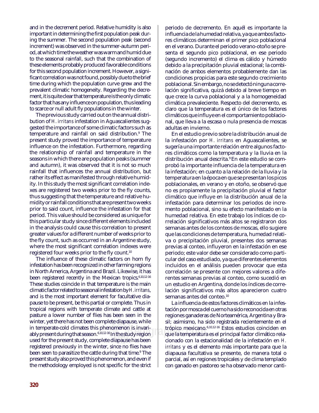and in the decrement period. Relative humidity is also important in determining the first population peak during the summer. The second population peak (second increment) was observed in the summer-autumn period, at which time the weather was warm and humid due to the seasonal rainfall, such that the combination of these elements probably produced favorable conditions for this second population increment. However, a significant correlation was not found, possibly due to the brief time during which the population curve grew and the prevalent climatic homogeneity. Regarding the decrement, it is quite clear that temperature is the only climatic factor that has any influence on population, thus leading to scarce or null adult fly populations in the winter.

The previous study carried out on the annual distribution of *H. irritans* infestation in Aguascalientes suggested the importance of some climatic factors such as temperature and rainfall on said distribution.<sup>9</sup> The present study proved the importance of temperature influence on the infestation. Furthermore, regarding the relationship of rainfall and temperature in the seasons in which there are population peaks (summer and autumn), it was observed that it is not so much rainfall that influences the annual distribution, but rather its effect as manifested through relative humidity. In this study the most significant correlation indexes are registered two weeks prior to the fly counts, thus suggesting that the temperature and relative humidity or rainfall conditions that are present two weeks prior to said count, influence the infestation for that period. This value should be considered as unique for this particular study since different elements included in the analysis could cause this correlation to present greater values for a different number of weeks prior to the fly count, such as occurred in an Argentine study, where the most significant correlation indexes were registered four weeks prior to the fly count.10

The influence of these climatic factors on horn fly infestation has been recognized in other farming regions in North America, Argentina and Brazil. Likewise, it has been registered recently in the Mexican tropics.<sup>6,10,12-16</sup> These studies coincide in that temperature is the main climatic factor related to seasonal infestation by *H. irritans*, and is the most important element for facultative diapause to be present, be this partial or complete. Thus in tropical regions with temperate climate and cattle at pasture a lower number of flies has been seen in the winter, yet there has not been complete diapause, while in temperate-cold climates this phenomenon is invariably present during that season.<sup>6,10,12-16</sup> In the study region used for the present study, complete diapause has been registered previously in the winter, since no flies have been seen to parasitize the cattle during that time.<sup>9</sup> The present study also proved this phenomenon, and even if the methodology employed is not specific for the strict

periodo de decremento. En aquél es importante la influencia de la humedad relativa, ya que ambos factores climáticos determinan el primer pico poblacional en el verano. Durante el periodo verano-otoño se presenta el segundo pico poblacional, en ese periodo (segundo incremento) el clima es cálido y húmedo debido a la precipitación pluvial estacional; la combinación de ambos elementos probablemente dan las condiciones propicias para este segundo crecimiento poblacional. Sin embargo, no se detectó ninguna correlación significativa, quizá debido al breve tiempo en que crece la curva poblacional y a la homogeneidad climática prevaleciente. Respecto del decremento, es claro que la temperatura es el único de los factores climáticos que influye en el comportamiento poblacional, que lleva a la escasa o nula presencia de moscas adultas en invierno.

En el estudio previo sobre la distribución anual de la infestación por *H. irritans* en Aguascalientes, se sugería una importante relación entre algunos factores climáticos como la temperatura y la lluvia en la distribución anual descrita.9 En este estudio se comprobó la importante influencia de la temperatura en la infestación; en cuanto a la relación de la lluvia y la temperatura en la época en que se presentan los picos poblacionales, en verano y en otoño, se observó que no es propiamente la precipitación pluvial el factor climático que influye en la distribución anual de la infestación para determinar los periodos de incremento poblacional, sino su efecto manifestado en la humedad relativa. En este trabajo los índices de correlación significativos más altos se registraron dos semanas antes de los conteos de moscas, ello sugiere que las condiciones de temperatura, humedad relativa o precipitación pluvial, presentes dos semanas previas al conteo, influyeron en la infestación en ese periodo; este valor debe ser considerado como particular del caso estudiado, ya que diferentes elementos incluidos en el análisis pueden provocar que esta correlación se presente con mejores valores a diferentes semanas previas al conteo, como sucedió en un estudio en Argentina, donde los índices de correlación significativos más altos aparecieron cuatro semanas antes del conteo.10

**edigraphic tropico mexicano.** 0.10.12-10 Estos estudios coinciden en<br>
yregion que la temperatura es el principal factor climático rela-La influencia de estos factores climáticos en la infestación por mosca del cuerno ha sido reconocida en otras regiones ganaderas de Norteamérica, Argentina y Brasil; asimismo, ha sido registrada recientemente en el trópico mexicano.6,10,12-16 Estos estudios coinciden en cionado con la estacionalidad de la infestación en *H. irritans* y es el elemento más importante para que la diapausa facultativa se presente, de manera total o parcial, así en regiones tropicales y de clima templado con ganado en pastoreo se ha observado menor canti-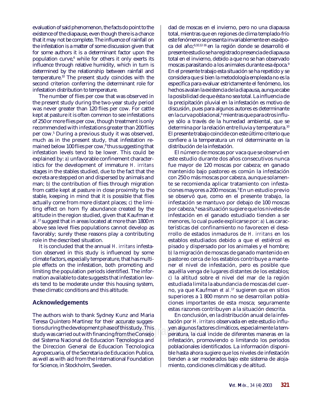evaluation of said phenomenon, the facts do point to the existence of the diapause, even though there is a chance that it may not be complete. The influence of rainfall on the infestation is a matter of some discussion given that for some authors it is a determinant factor upon the population curve,<sup>6</sup> while for others it only exerts its influence through relative humidity, which in turn is determined by the relationship between rainfall and temperature.10 The present study coincides with the second criterion conferring the determinant role for infestation distribution to temperature.

The number of flies per cow that was observed in the present study during the two-year study period was never greater than 120 flies per cow. For cattle kept at pasture it is often common to see infestations of 250 or more flies per cow, though treatment is only recommended with infestations greater than 200 flies per cow.5 During a previous study it was observed, much as in the present study, that infestation remained below 100 flies per cow,<sup>9</sup> thus suggesting that infestation levels tend to be lower. This could be explained by: *a)* unfavorable confinement characteristics for the development of immature *H. irritans* stages in the stables studied, due to the fact that the excreta are stepped on and dispersed by animals and man; *b*) the contribution of flies through migration from cattle kept at pasture in close proximity to the stable, keeping in mind that it is possible that flies actually come from more distant places; *c)* the limiting effect on horn fly abundance created by the altitude in the region studied, given that Kaufman *et al.*17 suggest that in areas located at more than 1800 m above sea level flies populations cannot develop as favorably; surely these reasons play a contributing role in the described situation.

It is concluded that the annual *H. irritans* infestation observed in this study is influenced by some climate factors, especially temperature, that has multiple effects on the infestation, both promoting and limiting the population periods identified. The information available to date suggests that infestation levels tend to be moderate under this housing system, these climatic conditions and this altitude.

### **Acknowledgements**

The authors wish to thank Sydney Kunz and Maria Teresa Quintero Martinez for their accurate suggestions during the development phase of this study. This study was carried out with financing from the Consejo del Sistema Nacional de Educacion Tecnologica and the Direccion General de Educacion Tecnologica Agropecuaria, of the Secretaria de Educacion Publica, as well as with aid from the International Foundation for Science, in Stockholm, Sweden.

dad de moscas en el invierno, pero no una diapausa total, mientras que en regiones de clima templado-frío este fenómeno se presenta invariablemente en esa época del año;6,10,12-16 en la región donde se desarrolló el presente estudio se ha registrado presencia de diapausa total en el invierno, debido a que no se han observado moscas parasitando a los animales durante esa época.9 En el presente trabajo esta situación se ha repetido y se considera que si bien la metodología empleada no es la específica para evaluar estrictamente el fenómeno, los hechos avalan la existencia de la diapausa, aunque cabe la posibilidad de que ésta no sea total. La influencia de la precipitación pluvial en la infestación es motivo de discusión, pues para algunos autores es determinante en la curva poblacional,<sup>6</sup> mientras que para otros influye sólo a través de la humedad ambiental, que se determina por la relación entre lluvia y temperatura.10 El presente trabajo coincide con este último criterio que confiere a la temperatura un rol determinante en la distribución de la infestación.

El número de moscas por vaca que se observó en este estudio durante dos años consecutivos nunca fue mayor de 120 moscas por cabeza; en ganado mantenido bajo pastoreo es común la infestación con 250 o más moscas por cabeza, aunque solamente se recomienda aplicar tratamiento con infestaciones mayores a 200 moscas.<sup>5</sup> En un estudio previo se observó que, como en el presente trabajo, la infestación se mantuvo por debajo de 100 moscas por cabeza,<sup>9</sup> esa situación sugiere que los niveles de infestación en el ganado estudiado tienden a ser menores, lo cual puede explicarse por: *a)* Las características del confinamiento no favorecen el desarrollo de estados inmaduros de *H. irritans* en los establos estudiados debido a que el estiércol es pisado y dispersado por los animales y el hombre; *b)* la migración de moscas de ganado mantenido en pastoreo cerca de los establos contribuye a mantener el nivel de infestación, pero es posible que aquélla venga de lugares distantes de los establos; *c)* la altitud sobre el nivel del mar de la región estudiada limita la abundancia de moscas del cuerno, ya que Kaufman *et al.*17 sugieren que en sitios superiores a 1 800 msnm no se desarrollan poblaciones importantes de esta mosca; seguramente estas razones contribuyen a la situación descrita.

1y. I nis <sup>e</sup>lle yen aigunos factores climaticos, especialmente la tem-<br>Consejo **de la peratura, la cual incide de diferentes** maneras en la En conclusión, en la distribución anual de la infestación por *H. irritans* observada en este estudio influyen algunos factores climáticos, especialmente la teminfestación, promoviendo o limitando los periodos poblacionales identificados. La información disponible hasta ahora sugiere que los niveles de infestación tienden a ser moderados bajo este sistema de alojamiento, condiciones climáticas y de altitud.